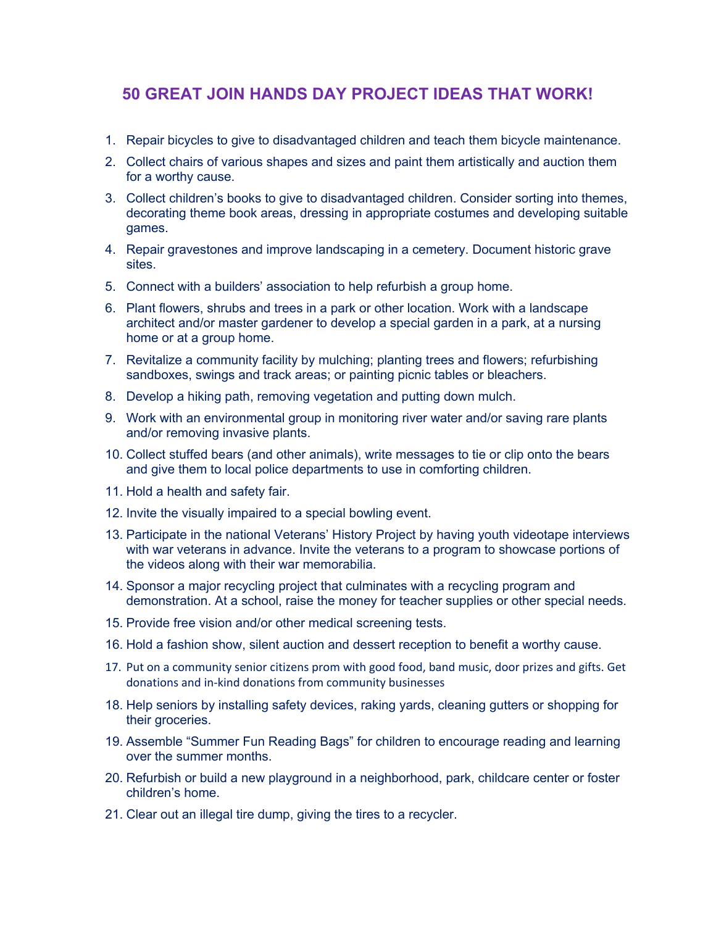## **50 GREAT JOIN HANDS DAY PROJECT IDEAS THAT WORK!**

- 1. Repair bicycles to give to disadvantaged children and teach them bicycle maintenance.
- 2. Collect chairs of various shapes and sizes and paint them artistically and auction them for a worthy cause.
- 3. Collect children's books to give to disadvantaged children. Consider sorting into themes, decorating theme book areas, dressing in appropriate costumes and developing suitable games.
- 4. Repair gravestones and improve landscaping in a cemetery. Document historic grave sites.
- 5. Connect with a builders' association to help refurbish a group home.
- 6. Plant flowers, shrubs and trees in a park or other location. Work with a landscape architect and/or master gardener to develop a special garden in a park, at a nursing home or at a group home.
- 7. Revitalize a community facility by mulching; planting trees and flowers; refurbishing sandboxes, swings and track areas; or painting picnic tables or bleachers.
- 8. Develop a hiking path, removing vegetation and putting down mulch.
- 9. Work with an environmental group in monitoring river water and/or saving rare plants and/or removing invasive plants.
- 10. Collect stuffed bears (and other animals), write messages to tie or clip onto the bears and give them to local police departments to use in comforting children.
- 11. Hold a health and safety fair.
- 12. Invite the visually impaired to a special bowling event.
- 13. Participate in the national Veterans' History Project by having youth videotape interviews with war veterans in advance. Invite the veterans to a program to showcase portions of the videos along with their war memorabilia.
- 14. Sponsor a major recycling project that culminates with a recycling program and demonstration. At a school, raise the money for teacher supplies or other special needs.
- 15. Provide free vision and/or other medical screening tests.
- 16. Hold a fashion show, silent auction and dessert reception to benefit a worthy cause.
- 17. Put on a community senior citizens prom with good food, band music, door prizes and gifts. Get donations and in-kind donations from community businesses
- 18. Help seniors by installing safety devices, raking yards, cleaning gutters or shopping for their groceries.
- 19. Assemble "Summer Fun Reading Bags" for children to encourage reading and learning over the summer months.
- 20. Refurbish or build a new playground in a neighborhood, park, childcare center or foster children's home.
- 21. Clear out an illegal tire dump, giving the tires to a recycler.